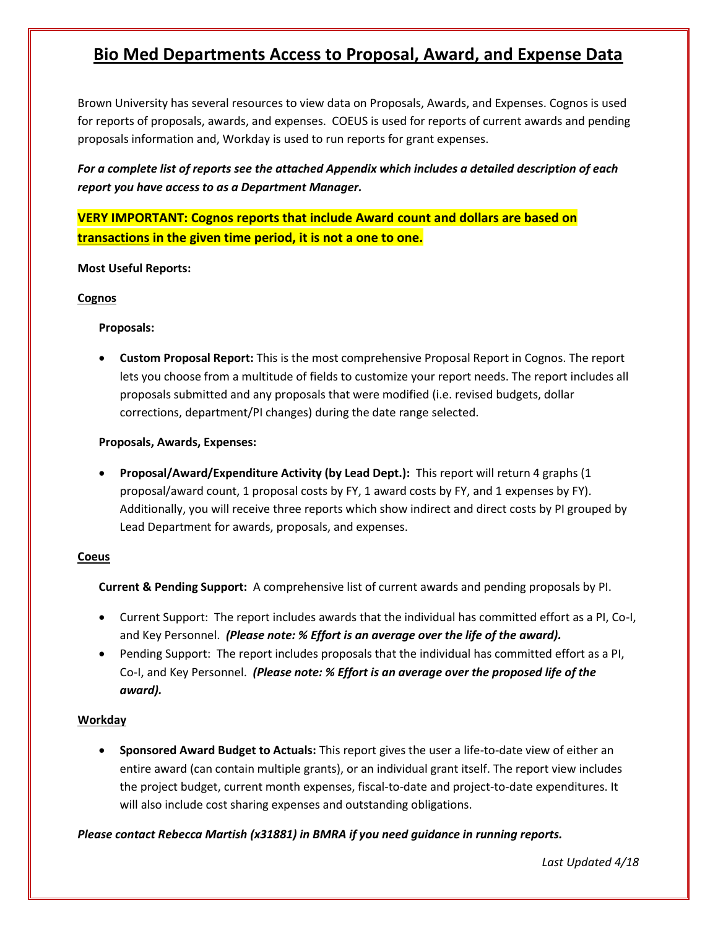# **Bio Med Departments Access to Proposal, Award, and Expense Data**

Brown University has several resources to view data on Proposals, Awards, and Expenses. Cognos is used for reports of proposals, awards, and expenses. COEUS is used for reports of current awards and pending proposals information and, Workday is used to run reports for grant expenses.

*For a complete list of reports see the attached Appendix which includes a detailed description of each report you have access to as a Department Manager.* 

**VERY IMPORTANT: Cognos reports that include Award count and dollars are based on transactions in the given time period, it is not a one to one.**

#### **Most Useful Reports:**

#### **Cognos**

## **Proposals:**

 **Custom Proposal Report:** This is the most comprehensive Proposal Report in Cognos. The report lets you choose from a multitude of fields to customize your report needs. The report includes all proposals submitted and any proposals that were modified (i.e. revised budgets, dollar corrections, department/PI changes) during the date range selected.

## **Proposals, Awards, Expenses:**

 **Proposal/Award/Expenditure Activity (by Lead Dept.):** This report will return 4 graphs (1 proposal/award count, 1 proposal costs by FY, 1 award costs by FY, and 1 expenses by FY). Additionally, you will receive three reports which show indirect and direct costs by PI grouped by Lead Department for awards, proposals, and expenses.

#### **Coeus**

**Current & Pending Support:** A comprehensive list of current awards and pending proposals by PI.

- Current Support: The report includes awards that the individual has committed effort as a PI, Co-I, and Key Personnel. *(Please note: % Effort is an average over the life of the award).*
- Pending Support: The report includes proposals that the individual has committed effort as a PI, Co-I, and Key Personnel. *(Please note: % Effort is an average over the proposed life of the award).*

# **Workday**

 **Sponsored Award Budget to Actuals:** This report gives the user a life-to-date view of either an entire award (can contain multiple grants), or an individual grant itself. The report view includes the project budget, current month expenses, fiscal-to-date and project-to-date expenditures. It will also include cost sharing expenses and outstanding obligations.

*Please contact Rebecca Martish (x31881) in BMRA if you need guidance in running reports.* 

*Last Updated 4/18*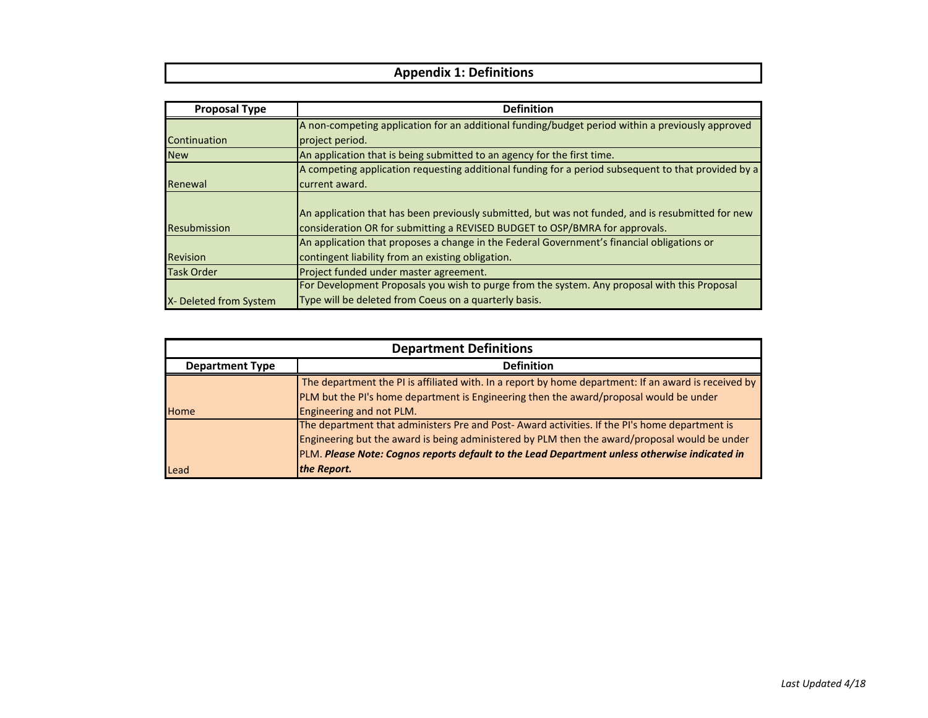# **Appendix 1: Definitions**

| <b>Proposal Type</b>   | <b>Definition</b>                                                                                   |  |  |  |
|------------------------|-----------------------------------------------------------------------------------------------------|--|--|--|
|                        | A non-competing application for an additional funding/budget period within a previously approved    |  |  |  |
| Continuation           | project period.                                                                                     |  |  |  |
| <b>New</b>             | An application that is being submitted to an agency for the first time.                             |  |  |  |
|                        | A competing application requesting additional funding for a period subsequent to that provided by a |  |  |  |
| Renewal                | current award.                                                                                      |  |  |  |
|                        |                                                                                                     |  |  |  |
|                        | An application that has been previously submitted, but was not funded, and is resubmitted for new   |  |  |  |
| <b>Resubmission</b>    | consideration OR for submitting a REVISED BUDGET to OSP/BMRA for approvals.                         |  |  |  |
|                        | An application that proposes a change in the Federal Government's financial obligations or          |  |  |  |
| <b>Revision</b>        | contingent liability from an existing obligation.                                                   |  |  |  |
| <b>Task Order</b>      | Project funded under master agreement.                                                              |  |  |  |
|                        | For Development Proposals you wish to purge from the system. Any proposal with this Proposal        |  |  |  |
| X- Deleted from System | Type will be deleted from Coeus on a quarterly basis.                                               |  |  |  |

| <b>Department Definitions</b>               |                                                                                                      |  |  |
|---------------------------------------------|------------------------------------------------------------------------------------------------------|--|--|
| <b>Definition</b><br><b>Department Type</b> |                                                                                                      |  |  |
|                                             | The department the PI is affiliated with. In a report by home department: If an award is received by |  |  |
|                                             | PLM but the PI's home department is Engineering then the award/proposal would be under               |  |  |
| <b>Home</b>                                 | Engineering and not PLM.                                                                             |  |  |
|                                             | The department that administers Pre and Post-Award activities. If the PI's home department is        |  |  |
|                                             | Engineering but the award is being administered by PLM then the award/proposal would be under        |  |  |
|                                             | PLM. Please Note: Cognos reports default to the Lead Department unless otherwise indicated in        |  |  |
| <b>Lead</b>                                 | the Report.                                                                                          |  |  |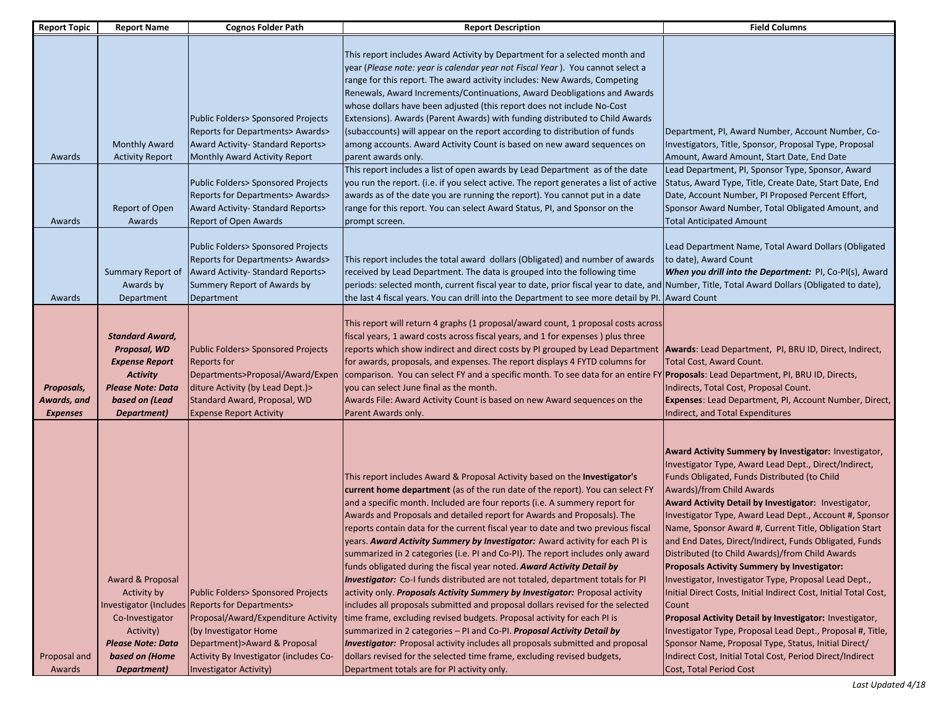| <b>Report Topic</b>                          | <b>Report Name</b>                                                                                                                              | <b>Cognos Folder Path</b>                                                                                                                                                                                                                                          | <b>Report Description</b>                                                                                                                                                                                                                                                                                                                                                                                                                                                                                                                                                                                                                                                                                                                                                                                                                                                                                                                                                                                                                                                                                                                                                                                                                                                              | <b>Field Columns</b>                                                                                                                                                                                                                                                                                                                                                                                                                                                                                                                                                                                                                                                                                                                                                                                                                                                                                                                                |
|----------------------------------------------|-------------------------------------------------------------------------------------------------------------------------------------------------|--------------------------------------------------------------------------------------------------------------------------------------------------------------------------------------------------------------------------------------------------------------------|----------------------------------------------------------------------------------------------------------------------------------------------------------------------------------------------------------------------------------------------------------------------------------------------------------------------------------------------------------------------------------------------------------------------------------------------------------------------------------------------------------------------------------------------------------------------------------------------------------------------------------------------------------------------------------------------------------------------------------------------------------------------------------------------------------------------------------------------------------------------------------------------------------------------------------------------------------------------------------------------------------------------------------------------------------------------------------------------------------------------------------------------------------------------------------------------------------------------------------------------------------------------------------------|-----------------------------------------------------------------------------------------------------------------------------------------------------------------------------------------------------------------------------------------------------------------------------------------------------------------------------------------------------------------------------------------------------------------------------------------------------------------------------------------------------------------------------------------------------------------------------------------------------------------------------------------------------------------------------------------------------------------------------------------------------------------------------------------------------------------------------------------------------------------------------------------------------------------------------------------------------|
| Awards                                       | <b>Monthly Award</b><br><b>Activity Report</b><br>Report of Open                                                                                | Public Folders> Sponsored Projects<br>Reports for Departments> Awards><br>Award Activity- Standard Reports><br>Monthly Award Activity Report<br>Public Folders> Sponsored Projects<br>Reports for Departments> Awards><br>Award Activity- Standard Reports>        | This report includes Award Activity by Department for a selected month and<br>year (Please note: year is calendar year not Fiscal Year). You cannot select a<br>range for this report. The award activity includes: New Awards, Competing<br>Renewals, Award Increments/Continuations, Award Deobligations and Awards<br>whose dollars have been adjusted (this report does not include No-Cost<br>Extensions). Awards (Parent Awards) with funding distributed to Child Awards<br>(subaccounts) will appear on the report according to distribution of funds<br>among accounts. Award Activity Count is based on new award sequences on<br>parent awards only.<br>This report includes a list of open awards by Lead Department as of the date<br>you run the report. (i.e. if you select active. The report generates a list of active<br>awards as of the date you are running the report). You cannot put in a date<br>range for this report. You can select Award Status, PI, and Sponsor on the                                                                                                                                                                                                                                                                                  | Department, PI, Award Number, Account Number, Co-<br>Investigators, Title, Sponsor, Proposal Type, Proposal<br>Amount, Award Amount, Start Date, End Date<br>Lead Department, PI, Sponsor Type, Sponsor, Award<br>Status, Award Type, Title, Create Date, Start Date, End<br>Date, Account Number, PI Proposed Percent Effort,<br>Sponsor Award Number, Total Obligated Amount, and                                                                                                                                                                                                                                                                                                                                                                                                                                                                                                                                                                 |
| Awards                                       | Awards                                                                                                                                          | <b>Report of Open Awards</b>                                                                                                                                                                                                                                       | prompt screen.                                                                                                                                                                                                                                                                                                                                                                                                                                                                                                                                                                                                                                                                                                                                                                                                                                                                                                                                                                                                                                                                                                                                                                                                                                                                         | <b>Total Anticipated Amount</b>                                                                                                                                                                                                                                                                                                                                                                                                                                                                                                                                                                                                                                                                                                                                                                                                                                                                                                                     |
| Awards                                       | Summary Report of<br>Awards by<br>Department                                                                                                    | Public Folders> Sponsored Projects<br>Reports for Departments> Awards><br>Award Activity- Standard Reports><br>Summary Report of Awards by<br>Department                                                                                                           | This report includes the total award dollars (Obligated) and number of awards<br>received by Lead Department. The data is grouped into the following time<br>periods: selected month, current fiscal year to date, prior fiscal year to date, and Number, Title, Total Award Dollars (Obligated to date),<br>the last 4 fiscal years. You can drill into the Department to see more detail by PI. Award Count                                                                                                                                                                                                                                                                                                                                                                                                                                                                                                                                                                                                                                                                                                                                                                                                                                                                          | Lead Department Name, Total Award Dollars (Obligated<br>to date), Award Count<br>When you drill into the Department: PI, Co-PI(s), Award                                                                                                                                                                                                                                                                                                                                                                                                                                                                                                                                                                                                                                                                                                                                                                                                            |
| Proposals,<br>Awards, and<br><b>Expenses</b> | <b>Standard Award,</b><br>Proposal, WD<br><b>Expense Report</b><br><b>Activity</b><br><b>Please Note: Data</b><br>based on (Lead<br>Department) | Public Folders> Sponsored Projects<br><b>Reports for</b><br>Departments>Proposal/Award/Expen<br>diture Activity (by Lead Dept.)><br>Standard Award, Proposal, WD<br><b>Expense Report Activity</b>                                                                 | This report will return 4 graphs (1 proposal/award count, 1 proposal costs across<br>fiscal years, 1 award costs across fiscal years, and 1 for expenses ) plus three<br>reports which show indirect and direct costs by PI grouped by Lead Department   Awards: Lead Department, PI, BRU ID, Direct, Indirect,<br>for awards, proposals, and expenses. The report displays 4 FYTD columns for<br>comparison. You can select FY and a specific month. To see data for an entire FY Proposals: Lead Department, PI, BRU ID, Directs,<br>you can select June final as the month.<br>Awards File: Award Activity Count is based on new Award sequences on the<br>Parent Awards only.                                                                                                                                                                                                                                                                                                                                                                                                                                                                                                                                                                                                      | Total Cost, Award Count.<br>Indirects, Total Cost, Proposal Count.<br>Expenses: Lead Department, PI, Account Number, Direct,<br>Indirect, and Total Expenditures                                                                                                                                                                                                                                                                                                                                                                                                                                                                                                                                                                                                                                                                                                                                                                                    |
| Proposal and<br>Awards                       | Award & Proposal<br>Activity by<br>Co-Investigator<br>Activity)<br><b>Please Note: Data</b><br>based on (Home<br>Department)                    | Public Folders> Sponsored Projects<br>Investigator (Includes Reports for Departments><br>Proposal/Award/Expenditure Activity<br>(by Investigator Home<br>Department) > Award & Proposal<br>Activity By Investigator (includes Co-<br><b>Investigator Activity)</b> | This report includes Award & Proposal Activity based on the Investigator's<br>current home department (as of the run date of the report). You can select FY<br>and a specific month. Included are four reports (i.e. A summary report for<br>Awards and Proposals and detailed report for Awards and Proposals). The<br>reports contain data for the current fiscal year to date and two previous fiscal<br>years. Award Activity Summary by Investigator: Award activity for each PI is<br>summarized in 2 categories (i.e. PI and Co-PI). The report includes only award<br>funds obligated during the fiscal year noted. Award Activity Detail by<br><b>Investigator:</b> Co-I funds distributed are not totaled, department totals for PI<br>activity only. Proposals Activity Summary by Investigator: Proposal activity<br>includes all proposals submitted and proposal dollars revised for the selected<br>time frame, excluding revised budgets. Proposal activity for each PI is<br>summarized in 2 categories - PI and Co-PI. Proposal Activity Detail by<br><b>Investigator:</b> Proposal activity includes all proposals submitted and proposal<br>dollars revised for the selected time frame, excluding revised budgets,<br>Department totals are for PI activity only. | Award Activity Summary by Investigator: Investigator,<br>Investigator Type, Award Lead Dept., Direct/Indirect,<br>Funds Obligated, Funds Distributed (to Child<br>Awards)/from Child Awards<br>Award Activity Detail by Investigator: Investigator,<br>Investigator Type, Award Lead Dept., Account #, Sponsor<br>Name, Sponsor Award #, Current Title, Obligation Start<br>and End Dates, Direct/Indirect, Funds Obligated, Funds<br>Distributed (to Child Awards)/from Child Awards<br>Proposals Activity Summary by Investigator:<br>Investigator, Investigator Type, Proposal Lead Dept.,<br>Initial Direct Costs, Initial Indirect Cost, Initial Total Cost,<br>Count<br>Proposal Activity Detail by Investigator: Investigator,<br>Investigator Type, Proposal Lead Dept., Proposal #, Title,<br>Sponsor Name, Proposal Type, Status, Initial Direct/<br>Indirect Cost, Initial Total Cost, Period Direct/Indirect<br>Cost, Total Period Cost |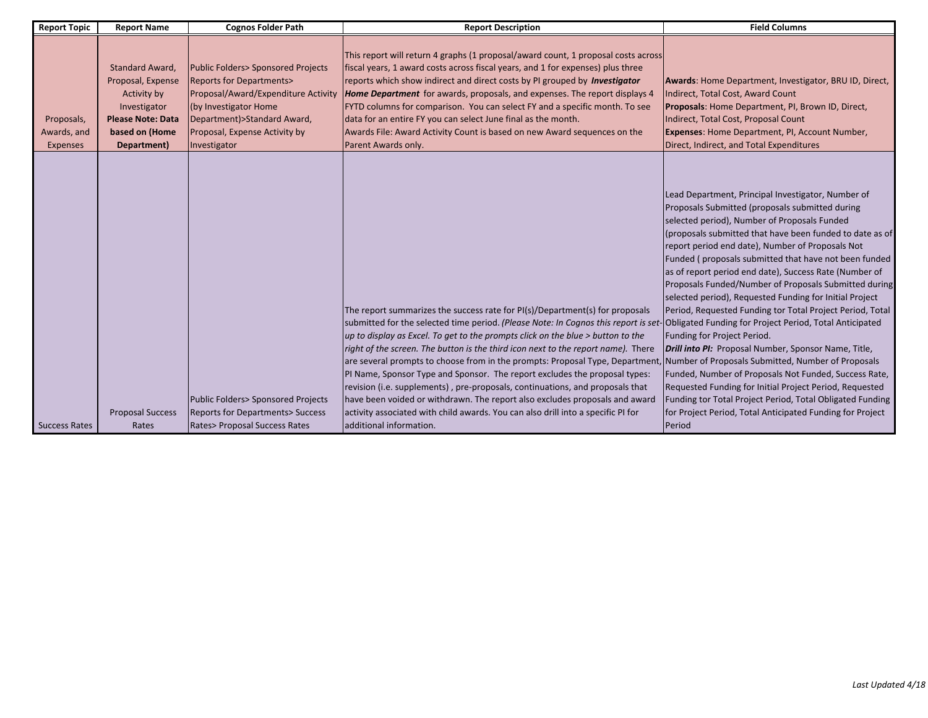| <b>Report Topic</b>                          | <b>Report Name</b>                                                                                                               | <b>Cognos Folder Path</b>                                                                                                                                                                                                  | <b>Report Description</b>                                                                                                                                                                                                                                                                                                                                                                                                                                                                                                                                                                  | <b>Field Columns</b>                                                                                                                                                                                                                                                                                                                                                                                                                                                                                                                                                                                                                                             |
|----------------------------------------------|----------------------------------------------------------------------------------------------------------------------------------|----------------------------------------------------------------------------------------------------------------------------------------------------------------------------------------------------------------------------|--------------------------------------------------------------------------------------------------------------------------------------------------------------------------------------------------------------------------------------------------------------------------------------------------------------------------------------------------------------------------------------------------------------------------------------------------------------------------------------------------------------------------------------------------------------------------------------------|------------------------------------------------------------------------------------------------------------------------------------------------------------------------------------------------------------------------------------------------------------------------------------------------------------------------------------------------------------------------------------------------------------------------------------------------------------------------------------------------------------------------------------------------------------------------------------------------------------------------------------------------------------------|
| Proposals,<br>Awards, and<br><b>Expenses</b> | Standard Award,<br>Proposal, Expense<br>Activity by<br>Investigator<br><b>Please Note: Data</b><br>based on (Home<br>Department) | Public Folders> Sponsored Projects<br><b>Reports for Departments&gt;</b><br>Proposal/Award/Expenditure Activity<br>(by Investigator Home<br>Department) > Standard Award,<br>Proposal, Expense Activity by<br>Investigator | This report will return 4 graphs (1 proposal/award count, 1 proposal costs across<br>fiscal years, 1 award costs across fiscal years, and 1 for expenses) plus three<br>reports which show indirect and direct costs by PI grouped by Investigator<br><b>Home Department</b> for awards, proposals, and expenses. The report displays 4<br>FYTD columns for comparison. You can select FY and a specific month. To see<br>data for an entire FY you can select June final as the month.<br>Awards File: Award Activity Count is based on new Award sequences on the<br>Parent Awards only. | Awards: Home Department, Investigator, BRU ID, Direct,<br>Indirect, Total Cost, Award Count<br><b>Proposals:</b> Home Department, PI, Brown ID, Direct,<br>Indirect, Total Cost, Proposal Count<br>Expenses: Home Department, PI, Account Number,<br>Direct, Indirect, and Total Expenditures                                                                                                                                                                                                                                                                                                                                                                    |
|                                              |                                                                                                                                  |                                                                                                                                                                                                                            | The report summarizes the success rate for PI(s)/Department(s) for proposals<br>submitted for the selected time period. (Please Note: In Cognos this report is set-Obligated Funding for Project Period, Total Anticipated<br>$\mu$ to display as Excel. To get to the prompts click on the blue $>$ button to the<br>right of the screen. The button is the third icon next to the report name). There<br>are several prompts to choose from in the prompts: Proposal Type, Department, Number of Proposals Submitted, Number of Proposals                                                | Lead Department, Principal Investigator, Number of<br>Proposals Submitted (proposals submitted during<br>selected period), Number of Proposals Funded<br>(proposals submitted that have been funded to date as of<br>report period end date), Number of Proposals Not<br>Funded (proposals submitted that have not been funded<br>as of report period end date), Success Rate (Number of<br>Proposals Funded/Number of Proposals Submitted during<br>selected period), Requested Funding for Initial Project<br>Period, Requested Funding tor Total Project Period, Total<br>Funding for Project Period.<br>Drill into PI: Proposal Number, Sponsor Name, Title, |
| <b>Success Rates</b>                         | <b>Proposal Success</b><br>Rates                                                                                                 | Public Folders> Sponsored Projects<br><b>Reports for Departments&gt; Success</b><br>Rates> Proposal Success Rates                                                                                                          | PI Name, Sponsor Type and Sponsor. The report excludes the proposal types:<br>revision (i.e. supplements), pre-proposals, continuations, and proposals that<br>have been voided or withdrawn. The report also excludes proposals and award<br>activity associated with child awards. You can also drill into a specific PI for<br>ladditional information.                                                                                                                                                                                                                                 | Funded, Number of Proposals Not Funded, Success Rate,<br>Requested Funding for Initial Project Period, Requested<br>Funding tor Total Project Period, Total Obligated Funding<br>for Project Period, Total Anticipated Funding for Project<br>Period                                                                                                                                                                                                                                                                                                                                                                                                             |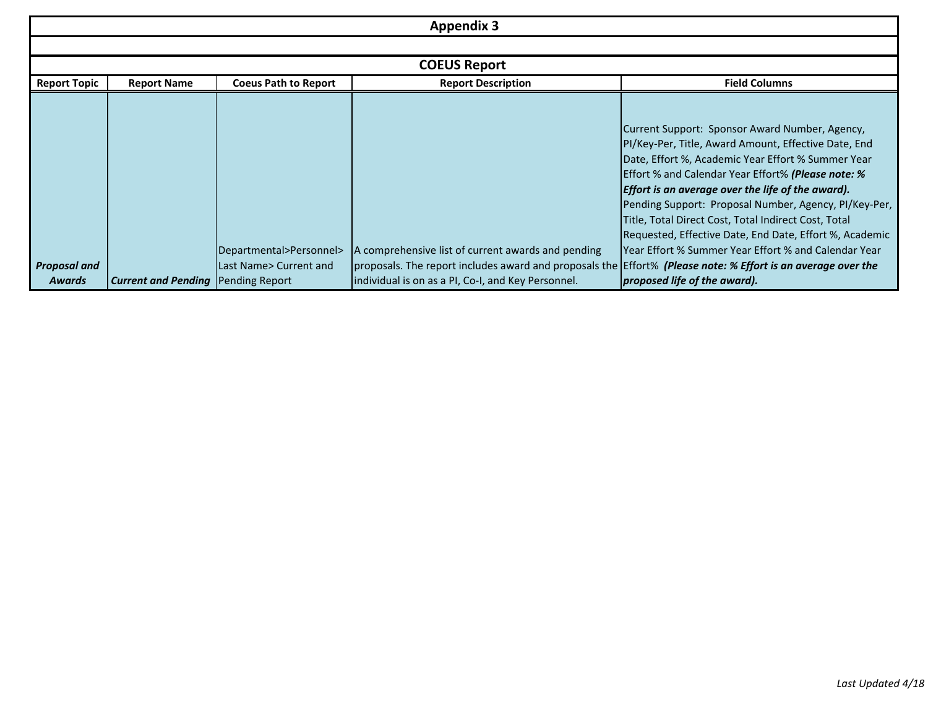| <b>Appendix 3</b>   |                                             |                             |                                                                                                              |                                                           |  |
|---------------------|---------------------------------------------|-----------------------------|--------------------------------------------------------------------------------------------------------------|-----------------------------------------------------------|--|
|                     |                                             |                             |                                                                                                              |                                                           |  |
|                     |                                             |                             | <b>COEUS Report</b>                                                                                          |                                                           |  |
| <b>Report Topic</b> | <b>Report Name</b>                          | <b>Coeus Path to Report</b> | <b>Report Description</b>                                                                                    | <b>Field Columns</b>                                      |  |
|                     |                                             |                             |                                                                                                              |                                                           |  |
|                     |                                             |                             |                                                                                                              | Current Support: Sponsor Award Number, Agency,            |  |
|                     |                                             |                             |                                                                                                              | PI/Key-Per, Title, Award Amount, Effective Date, End      |  |
|                     |                                             |                             |                                                                                                              | Date, Effort %, Academic Year Effort % Summer Year        |  |
|                     |                                             |                             |                                                                                                              | <b>Effort % and Calendar Year Effort% (Please note: %</b> |  |
|                     |                                             |                             |                                                                                                              | <b>Effort is an average over the life of the award).</b>  |  |
|                     |                                             |                             |                                                                                                              | Pending Support: Proposal Number, Agency, PI/Key-Per,     |  |
|                     |                                             |                             |                                                                                                              | Title, Total Direct Cost, Total Indirect Cost, Total      |  |
|                     |                                             |                             |                                                                                                              | Requested, Effective Date, End Date, Effort %, Academic   |  |
|                     |                                             | Departmental>Personnel>     | A comprehensive list of current awards and pending                                                           | IYear Effort % Summer Year Effort % and Calendar Year     |  |
| <b>Proposal and</b> |                                             | Last Name> Current and      | proposals. The report includes award and proposals the Effort% (Please note: % Effort is an average over the |                                                           |  |
| Awards              | <b>Current and Pending   Pending Report</b> |                             | individual is on as a PI, Co-I, and Key Personnel.                                                           | proposed life of the award).                              |  |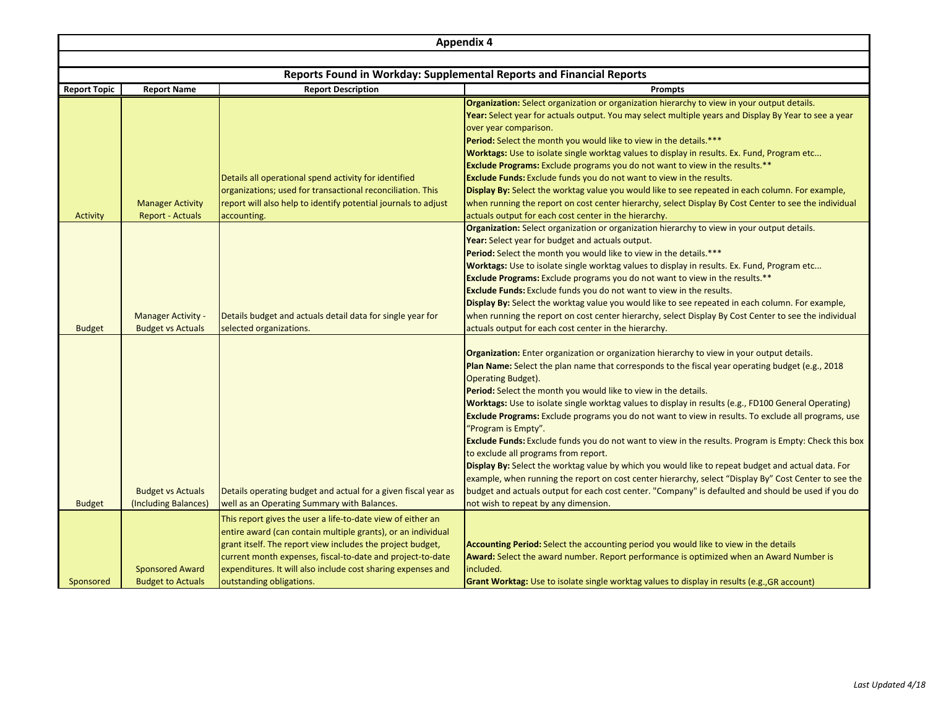|                     | <b>Appendix 4</b>                                  |                                                                                                                                                                                                                                                                                                                                                     |                                                                                                                                                                                                                                                                                                                                                                                                                                                                                                                                                                                                                                                                                                                                                                                                                                                                                                                                                                                                                                                                          |  |  |
|---------------------|----------------------------------------------------|-----------------------------------------------------------------------------------------------------------------------------------------------------------------------------------------------------------------------------------------------------------------------------------------------------------------------------------------------------|--------------------------------------------------------------------------------------------------------------------------------------------------------------------------------------------------------------------------------------------------------------------------------------------------------------------------------------------------------------------------------------------------------------------------------------------------------------------------------------------------------------------------------------------------------------------------------------------------------------------------------------------------------------------------------------------------------------------------------------------------------------------------------------------------------------------------------------------------------------------------------------------------------------------------------------------------------------------------------------------------------------------------------------------------------------------------|--|--|
|                     |                                                    |                                                                                                                                                                                                                                                                                                                                                     |                                                                                                                                                                                                                                                                                                                                                                                                                                                                                                                                                                                                                                                                                                                                                                                                                                                                                                                                                                                                                                                                          |  |  |
|                     |                                                    |                                                                                                                                                                                                                                                                                                                                                     | Reports Found in Workday: Supplemental Reports and Financial Reports                                                                                                                                                                                                                                                                                                                                                                                                                                                                                                                                                                                                                                                                                                                                                                                                                                                                                                                                                                                                     |  |  |
| <b>Report Topic</b> | <b>Report Name</b>                                 | <b>Report Description</b>                                                                                                                                                                                                                                                                                                                           | <b>Prompts</b>                                                                                                                                                                                                                                                                                                                                                                                                                                                                                                                                                                                                                                                                                                                                                                                                                                                                                                                                                                                                                                                           |  |  |
| <b>Activity</b>     | <b>Manager Activity</b><br><b>Report - Actuals</b> | Details all operational spend activity for identified<br>organizations; used for transactional reconciliation. This<br>report will also help to identify potential journals to adjust<br>accounting.                                                                                                                                                | Organization: Select organization or organization hierarchy to view in your output details.<br>Year: Select year for actuals output. You may select multiple years and Display By Year to see a year<br>over year comparison.<br><b>Period:</b> Select the month you would like to view in the details.***<br>Worktags: Use to isolate single worktag values to display in results. Ex. Fund, Program etc<br><b>Exclude Programs:</b> Exclude programs you do not want to view in the results.**<br><b>Exclude Funds:</b> Exclude funds you do not want to view in the results.<br>Display By: Select the worktag value you would like to see repeated in each column. For example,<br>when running the report on cost center hierarchy, select Display By Cost Center to see the individual<br>actuals output for each cost center in the hierarchy.                                                                                                                                                                                                                    |  |  |
| <b>Budget</b>       | Manager Activity -<br><b>Budget vs Actuals</b>     | Details budget and actuals detail data for single year for<br>selected organizations.                                                                                                                                                                                                                                                               | Organization: Select organization or organization hierarchy to view in your output details.<br>Year: Select year for budget and actuals output.<br>Period: Select the month you would like to view in the details.***<br>Worktags: Use to isolate single worktag values to display in results. Ex. Fund, Program etc<br><b>Exclude Programs:</b> Exclude programs you do not want to view in the results.**<br><b>Exclude Funds:</b> Exclude funds you do not want to view in the results.<br>Display By: Select the worktag value you would like to see repeated in each column. For example,<br>when running the report on cost center hierarchy, select Display By Cost Center to see the individual<br>actuals output for each cost center in the hierarchy.                                                                                                                                                                                                                                                                                                         |  |  |
| <b>Budget</b>       | <b>Budget vs Actuals</b><br>(Including Balances)   | Details operating budget and actual for a given fiscal year as<br>well as an Operating Summary with Balances.                                                                                                                                                                                                                                       | <b>Organization:</b> Enter organization or organization hierarchy to view in your output details.<br>Plan Name: Select the plan name that corresponds to the fiscal year operating budget (e.g., 2018<br><b>Operating Budget).</b><br>Period: Select the month you would like to view in the details.<br><b>Worktags:</b> Use to isolate single worktag values to display in results (e.g., FD100 General Operating)<br><b>Exclude Programs:</b> Exclude programs you do not want to view in results. To exclude all programs, use<br>"Program is Empty".<br>Exclude Funds: Exclude funds you do not want to view in the results. Program is Empty: Check this box<br>to exclude all programs from report.<br>Display By: Select the worktag value by which you would like to repeat budget and actual data. For<br>example, when running the report on cost center hierarchy, select "Display By" Cost Center to see the<br>budget and actuals output for each cost center. "Company" is defaulted and should be used if you do<br>not wish to repeat by any dimension. |  |  |
| Sponsored           | <b>Sponsored Award</b><br><b>Budget to Actuals</b> | This report gives the user a life-to-date view of either an<br>entire award (can contain multiple grants), or an individual<br>grant itself. The report view includes the project budget,<br>current month expenses, fiscal-to-date and project-to-date<br>expenditures. It will also include cost sharing expenses and<br>outstanding obligations. | Accounting Period: Select the accounting period you would like to view in the details<br>Award: Select the award number. Report performance is optimized when an Award Number is<br>included.<br>Grant Worktag: Use to isolate single worktag values to display in results (e.g., GR account)                                                                                                                                                                                                                                                                                                                                                                                                                                                                                                                                                                                                                                                                                                                                                                            |  |  |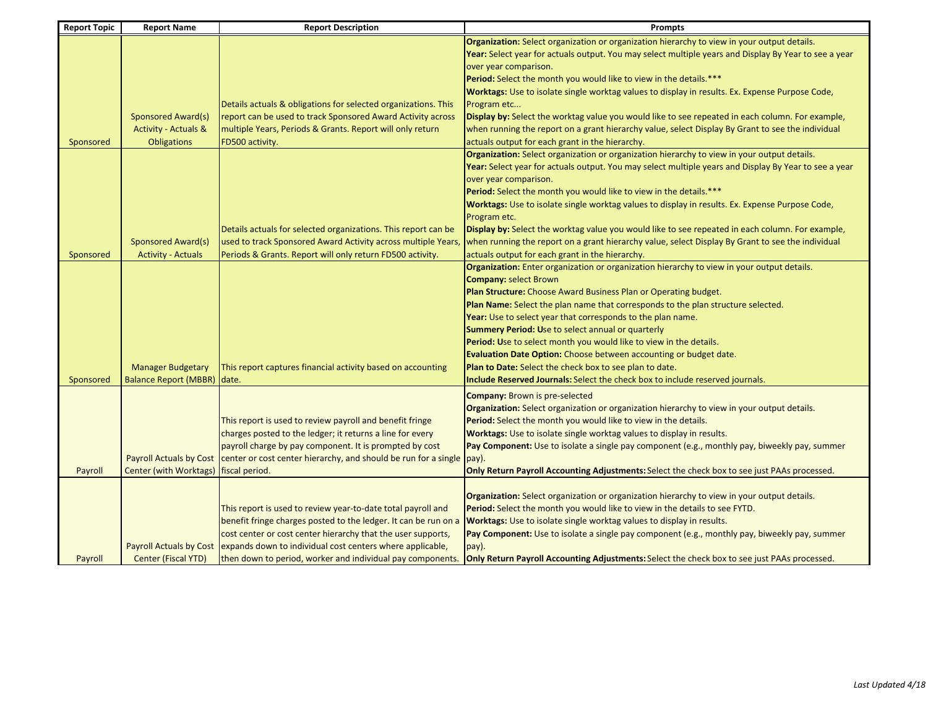| <b>Report Topic</b> | <b>Report Name</b>              | <b>Report Description</b>                                                                                                       | <b>Prompts</b>                                                                                                                                                             |
|---------------------|---------------------------------|---------------------------------------------------------------------------------------------------------------------------------|----------------------------------------------------------------------------------------------------------------------------------------------------------------------------|
|                     |                                 |                                                                                                                                 | Organization: Select organization or organization hierarchy to view in your output details.                                                                                |
|                     |                                 |                                                                                                                                 | Year: Select year for actuals output. You may select multiple years and Display By Year to see a year                                                                      |
|                     |                                 |                                                                                                                                 | over year comparison.                                                                                                                                                      |
|                     |                                 |                                                                                                                                 | Period: Select the month you would like to view in the details.***                                                                                                         |
|                     |                                 |                                                                                                                                 | Worktags: Use to isolate single worktag values to display in results. Ex. Expense Purpose Code,                                                                            |
|                     |                                 | Details actuals & obligations for selected organizations. This                                                                  | Program etc                                                                                                                                                                |
|                     | <b>Sponsored Award(s)</b>       | report can be used to track Sponsored Award Activity across                                                                     | Display by: Select the worktag value you would like to see repeated in each column. For example,                                                                           |
|                     | <b>Activity - Actuals &amp;</b> | multiple Years, Periods & Grants. Report will only return                                                                       | when running the report on a grant hierarchy value, select Display By Grant to see the individual                                                                          |
| Sponsored           | <b>Obligations</b>              | FD500 activity.                                                                                                                 | actuals output for each grant in the hierarchy.                                                                                                                            |
|                     |                                 |                                                                                                                                 | Organization: Select organization or organization hierarchy to view in your output details.                                                                                |
|                     |                                 |                                                                                                                                 | Year: Select year for actuals output. You may select multiple years and Display By Year to see a year                                                                      |
|                     |                                 |                                                                                                                                 | over year comparison.                                                                                                                                                      |
|                     |                                 |                                                                                                                                 | Period: Select the month you would like to view in the details.***                                                                                                         |
|                     |                                 |                                                                                                                                 | Worktags: Use to isolate single worktag values to display in results. Ex. Expense Purpose Code,                                                                            |
|                     |                                 |                                                                                                                                 | Program etc.                                                                                                                                                               |
|                     |                                 | Details actuals for selected organizations. This report can be                                                                  | Display by: Select the worktag value you would like to see repeated in each column. For example,                                                                           |
|                     | <b>Sponsored Award(s)</b>       | used to track Sponsored Award Activity across multiple Years,                                                                   | when running the report on a grant hierarchy value, select Display By Grant to see the individual                                                                          |
| Sponsored           | <b>Activity - Actuals</b>       | Periods & Grants. Report will only return FD500 activity.                                                                       | actuals output for each grant in the hierarchy.                                                                                                                            |
|                     |                                 |                                                                                                                                 | Organization: Enter organization or organization hierarchy to view in your output details.                                                                                 |
|                     |                                 |                                                                                                                                 | <b>Company: select Brown</b>                                                                                                                                               |
|                     |                                 |                                                                                                                                 | Plan Structure: Choose Award Business Plan or Operating budget.                                                                                                            |
|                     |                                 |                                                                                                                                 | Plan Name: Select the plan name that corresponds to the plan structure selected.                                                                                           |
|                     |                                 |                                                                                                                                 | Year: Use to select year that corresponds to the plan name.                                                                                                                |
|                     |                                 |                                                                                                                                 | Summary Period: Use to select annual or quarterly                                                                                                                          |
|                     |                                 |                                                                                                                                 | <b>Period: Use to select month you would like to view in the details.</b>                                                                                                  |
|                     |                                 |                                                                                                                                 | <b>Evaluation Date Option:</b> Choose between accounting or budget date.                                                                                                   |
|                     | <b>Manager Budgetary</b>        | This report captures financial activity based on accounting                                                                     | Plan to Date: Select the check box to see plan to date.                                                                                                                    |
| Sponsored           | <b>Balance Report (MBBR)</b>    | date.                                                                                                                           | Include Reserved Journals: Select the check box to include reserved journals.                                                                                              |
|                     |                                 |                                                                                                                                 |                                                                                                                                                                            |
|                     |                                 |                                                                                                                                 | <b>Company: Brown is pre-selected</b>                                                                                                                                      |
|                     |                                 |                                                                                                                                 | Organization: Select organization or organization hierarchy to view in your output details.                                                                                |
|                     |                                 | This report is used to review payroll and benefit fringe                                                                        | Period: Select the month you would like to view in the details.                                                                                                            |
|                     |                                 | charges posted to the ledger; it returns a line for every                                                                       | Worktags: Use to isolate single worktag values to display in results.                                                                                                      |
|                     |                                 | payroll charge by pay component. It is prompted by cost                                                                         | Pay Component: Use to isolate a single pay component (e.g., monthly pay, biweekly pay, summer                                                                              |
|                     | <b>Payroll Actuals by Cost</b>  | center or cost center hierarchy, and should be run for a single                                                                 | pay).                                                                                                                                                                      |
| Payroll             | <b>Center (with Worktags)</b>   | fiscal period.                                                                                                                  | Only Return Payroll Accounting Adjustments: Select the check box to see just PAAs processed.                                                                               |
|                     |                                 |                                                                                                                                 |                                                                                                                                                                            |
|                     |                                 |                                                                                                                                 | Organization: Select organization or organization hierarchy to view in your output details.<br>Period: Select the month you would like to view in the details to see FYTD. |
|                     |                                 | This report is used to review year-to-date total payroll and<br>benefit fringe charges posted to the ledger. It can be run on a | Worktags: Use to isolate single worktag values to display in results.                                                                                                      |
|                     |                                 |                                                                                                                                 |                                                                                                                                                                            |
|                     | <b>Payroll Actuals by Cost</b>  | cost center or cost center hierarchy that the user supports,                                                                    | Pay Component: Use to isolate a single pay component (e.g., monthly pay, biweekly pay, summer                                                                              |
|                     |                                 | expands down to individual cost centers where applicable,                                                                       | pay).                                                                                                                                                                      |
| Payroll             | Center (Fiscal YTD)             | then down to period, worker and individual pay components.                                                                      | <b>Only Return Payroll Accounting Adjustments:</b> Select the check box to see just PAAs processed.                                                                        |